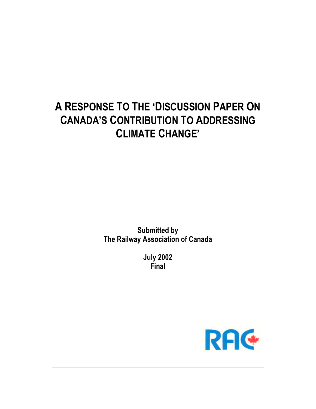# **A RESPONSE TO THE 'DISCUSSION PAPER ON CANADA'S CONTRIBUTION TO ADDRESSING CLIMATE CHANGE'**

**Submitted by The Railway Association of Canada**

> **July 2002 Final**

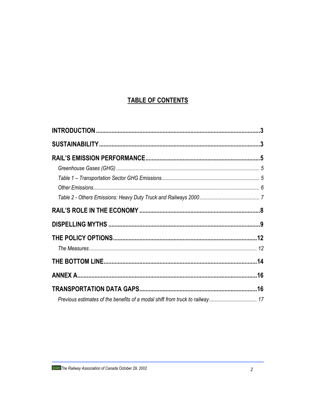# **TABLE OF CONTENTS**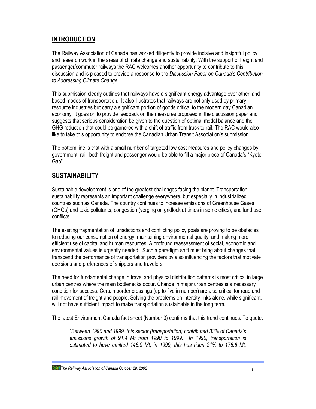# **INTRODUCTION**

The Railway Association of Canada has worked diligently to provide incisive and insightful policy and research work in the areas of climate change and sustainability. With the support of freight and passenger/commuter railways the RAC welcomes another opportunity to contribute to this discussion and is pleased to provide a response to the *Discussion Paper on Canada's Contribution to Addressing Climate Change.*

This submission clearly outlines that railways have a significant energy advantage over other land based modes of transportation. It also illustrates that railways are not only used by primary resource industries but carry a significant portion of goods critical to the modern day Canadian economy. It goes on to provide feedback on the measures proposed in the discussion paper and suggests that serious consideration be given to the question of optimal modal balance and the GHG reduction that could be garnered with a shift of traffic from truck to rail. The RAC would also like to take this opportunity to endorse the Canadian Urban Transit Association's submission.

The bottom line is that with a small number of targeted low cost measures and policy changes by government, rail, both freight and passenger would be able to fill a major piece of Canada's "Kyoto Gap".

# **SUSTAINABILITY**

Sustainable development is one of the greatest challenges facing the planet. Transportation sustainability represents an important challenge everywhere, but especially in industrialized countries such as Canada. The country continues to increase emissions of Greenhouse Gases (GHGs) and toxic pollutants, congestion (verging on gridlock at times in some cities), and land use conflicts.

The existing fragmentation of jurisdictions and conflicting policy goals are proving to be obstacles to reducing our consumption of energy, maintaining environmental quality, and making more efficient use of capital and human resources. A profound reassessment of social, economic and environmental values is urgently needed. Such a paradigm shift must bring about changes that transcend the performance of transportation providers by also influencing the factors that motivate decisions and preferences of shippers and travelers.

The need for fundamental change in travel and physical distribution patterns is most critical in large urban centres where the main bottlenecks occur. Change in major urban centres is a necessary condition for success. Certain border crossings (up to five in number) are also critical for road and rail movement of freight and people. Solving the problems on intercity links alone, while significant, will not have sufficient impact to make transportation sustainable in the long term.

The latest Environment Canada fact sheet (Number 3) confirms that this trend continues. To quote:

*"Between 1990 and 1999, this sector (transportation) contributed 33% of Canada's emissions growth of 91.4 Mt from 1990 to 1999. In 1990, transportation is estimated to have emitted 146.0 Mt; in 1999, this has risen 21% to 176.6 Mt.*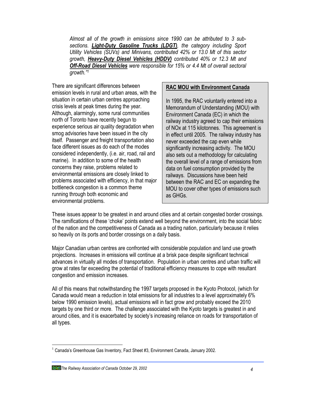*Almost all of the growth in emissions since 1990 can be attributed to 3 subsections. Light-Duty Gasoline Trucks (LDGT), the category including Sport Utility Vehicles (SUVs) and Minivans, contributed 42% or 13.0 Mt of this sector growth, Heavy-Duty Diesel Vehicles (HDDV) contributed 40% or 12.3 Mt and Off-Road Diesel Vehicles were responsible for 15% or 4.4 Mt of overall sectoral growth."<sup>1</sup>*

There are significant differences between emission levels in rural and urban areas, with the situation in certain urban centres approaching crisis levels at peak times during the year. Although, alarmingly, some rural communities north of Toronto have recently begun to experience serious air quality degradation when smog advisories have been issued in the city itself. Passenger and freight transportation also face different issues as do each of the modes considered independently, (i.e. air, road, rail and marine). In addition to some of the health concerns they raise, problems related to environmental emissions are closely linked to problems associated with efficiency, in that major bottleneck congestion is a common theme running through both economic and environmental problems.

### **RAC MOU with Environment Canada**

In 1995, the RAC voluntarily entered into a Memorandum of Understanding (MOU) with Environment Canada (EC) in which the railway industry agreed to cap their emissions of NOx at 115 kilotonnes. This agreement is in effect until 2005. The railway industry has never exceeded the cap even while significantly increasing activity. The MOU also sets out a methodology for calculating the overall level of a range of emissions from data on fuel consumption provided by the railways. Discussions have been held between the RAC and EC on expanding the MOU to cover other types of emissions such as GHGs.

These issues appear to be greatest in and around cities and at certain congested border crossings. The ramifications of these 'choke' points extend well beyond the environment, into the social fabric of the nation and the competitiveness of Canada as a trading nation, particularly because it relies so heavily on its ports and border crossings on a daily basis.

Major Canadian urban centres are confronted with considerable population and land use growth projections. Increases in emissions will continue at a brisk pace despite significant technical advances in virtually all modes of transportation. Population in urban centres and urban traffic will grow at rates far exceeding the potential of traditional efficiency measures to cope with resultant congestion and emission increases.

All of this means that notwithstanding the 1997 targets proposed in the Kyoto Protocol, (which for Canada would mean a reduction in total emissions for all industries to a level approximately 6% below 1990 emission levels), actual emissions will in fact grow and probably exceed the 2010 targets by one third or more. The challenge associated with the Kyoto targets is greatest in and around cities, and it is exacerbated by society's increasing reliance on roads for transportation of all types.

*The Railway Association of Canada October 29, 2002 4*

<sup>-</sup> $1$  Canada's Greenhouse Gas Inventory, Fact Sheet #3, Environment Canada, January 2002.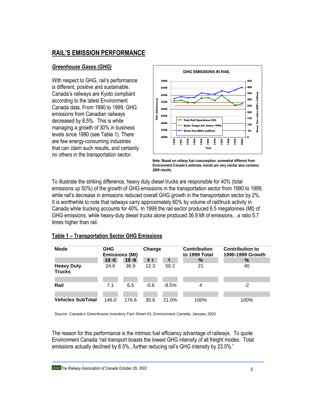# **RAIL'S EMISSION PERFORMANCE**

## *Greenhouse Gases (GHG)*

With respect to GHG, rail's performance is different, positive and sustainable. Canada's railways are Kyoto compliant according to the latest Environment Canada data. From 1990 to 1999, GHG emissions from Canadian railways decreased by 8.5%. This is while managing a growth of 30% in business levels since 1990 (see Table 1). There are few energy-consuming industries that can claim such results, and certainly no others in the transportation sector.



**Note: Based on railway fuel consumption; somewhat different from Environment Canada's estimate, trends are very similar also contains 2000 results.**

To illustrate the striking difference, heavy duty diesel trucks are responsible for 40% (total emissions up 50%) of the growth of GHG emissions in the transportation sector from 1990 to 1999, while rail's decrease in emissions reduced overall GHG growth in the transportation sector by 2%. It is worthwhile to note that railways carry approximately 60% by volume of rail/truck activity in Canada while trucking accounts for 40%. In 1999 the rail sector produced 6.5 megatonnes (Mt) of GHG emissions, while heavy-duty diesel trucks alone produced 36.9 Mt of emissions…a ratio 5.7 times higher than rail.

### **Table 1 – Transportation Sector GHG Emissions**

| <b>Mode</b>                        | <b>GHG</b><br><b>Emissions (Mt)</b> |       | Change |          | <b>Contribution</b><br>to 1999 Total | <b>Contribution to</b><br>1990-1999 Growth |  |
|------------------------------------|-------------------------------------|-------|--------|----------|--------------------------------------|--------------------------------------------|--|
|                                    | 19 <sub>0</sub>                     | 19 19 | h t    | °        | $\%$                                 | $\%$                                       |  |
| <b>Heavy Duty</b><br><b>Trucks</b> | 24.6                                | 36.9  | 12.3   | 50.2     | 21                                   | 40                                         |  |
|                                    |                                     |       |        |          |                                      |                                            |  |
| Rail                               | 7.1                                 | 6.5   | $-0.6$ | $-8.5\%$ | 4                                    | $-2$                                       |  |
|                                    |                                     |       |        |          |                                      |                                            |  |
| <b>Vehicles SubTotal</b>           | 146.0                               | 176.6 | 30.6   | 21.0%    | 100%                                 | 100%                                       |  |

Source: Canada's Greenhouse Inventory Fact Sheet #3, Environment Canada, January 2002

The reason for this performance is the intrinsic fuel efficiency advantage of railways. To quote Environment Canada "rail transport boasts the lowest GHG intensity of all freight modes. Total emissions actually declined by 8.5%...further reducing rail's GHG intensity by 23.5%."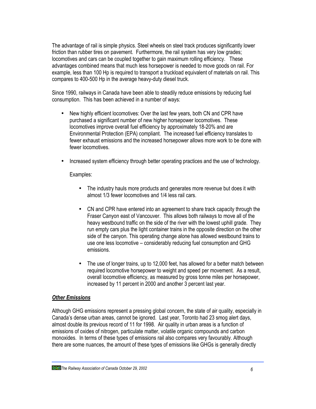The advantage of rail is simple physics. Steel wheels on steel track produces significantly lower friction than rubber tires on pavement. Furthermore, the rail system has very low grades; locomotives and cars can be coupled together to gain maximum rolling efficiency. These advantages combined means that much less horsepower is needed to move goods on rail. For example, less than 100 Hp is required to transport a truckload equivalent of materials on rail. This compares to 400-500 Hp in the average heavy-duty diesel truck.

Since 1990, railways in Canada have been able to steadily reduce emissions by reducing fuel consumption. This has been achieved in a number of ways:

- New highly efficient locomotives: Over the last few years, both CN and CPR have purchased a significant number of new higher horsepower locomotives. These locomotives improve overall fuel efficiency by approximately 18-20% and are Environmental Protection (EPA) compliant. The increased fuel efficiency translates to fewer exhaust emissions and the increased horsepower allows more work to be done with fewer locomotives.
- Increased system efficiency through better operating practices and the use of technology.

Examples:

- The industry hauls more products and generates more revenue but does it with almost 1/3 fewer locomotives and 1/4 less rail cars.
- CN and CPR have entered into an agreement to share track capacity through the Fraser Canyon east of Vancouver. This allows both railways to move all of the heavy westbound traffic on the side of the river with the lowest uphill grade. They run empty cars plus the light container trains in the opposite direction on the other side of the canyon. This operating change alone has allowed westbound trains to use one less locomotive – considerably reducing fuel consumption and GHG emissions.
- The use of longer trains, up to 12,000 feet, has allowed for a better match between required locomotive horsepower to weight and speed per movement. As a result, overall locomotive efficiency, as measured by gross tonne miles per horsepower, increased by 11 percent in 2000 and another 3 percent last year.

### *Other Emissions*

Although GHG emissions represent a pressing global concern, the state of air quality, especially in Canada's dense urban areas, cannot be ignored. Last year, Toronto had 23 smog alert days, almost double its previous record of 11 for 1998. Air quality in urban areas is a function of emissions of oxides of nitrogen, particulate matter, volatile organic compounds and carbon monoxides. In terms of these types of emissions rail also compares very favourably. Although there are some nuances, the amount of these types of emissions like GHGs is generally directly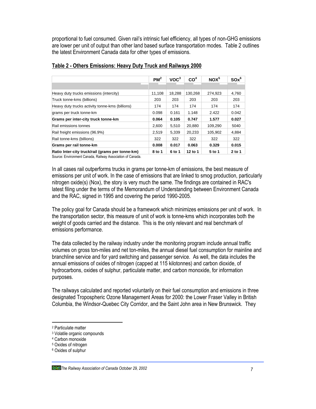proportional to fuel consumed. Given rail's intrinsic fuel efficiency, all types of non-GHG emissions are lower per unit of output than other land based surface transportation modes. Table 2 outlines the latest Environment Canada data for other types of emissions.

|                                                  | $PM^2$ | VOC <sup>3</sup> | CO <sup>4</sup> | NOX <sup>5</sup> | $SOx^6$ |
|--------------------------------------------------|--------|------------------|-----------------|------------------|---------|
|                                                  |        |                  |                 |                  |         |
| Heavy duty trucks emissions (intercity)          | 11.108 | 18.288           | 130.268         | 274.923          | 4,760   |
| Truck tonne-kms (billions)                       | 203    | 203              | 203             | 203              | 203     |
| Heavy duty trucks activity tonne-kms (billions)  | 174    | 174              | 174             | 174              | 174     |
| grams per truck tonne-km                         | 0.098  | 0.161            | 1.148           | 2.422            | 0.042   |
| Grams per inter-city truck tonne-km              | 0.064  | 0.105            | 0.747           | 1.577            | 0.027   |
| Rail emissions tonnes                            | 2.600  | 5,510            | 20.880          | 109.290          | 5040    |
| Rail freight emissions (96.9%)                   | 2.519  | 5,339            | 20.233          | 105.902          | 4,884   |
| Rail tonne-kms (billions)                        | 322    | 322              | 322             | 322              | 322     |
| Grams per rail tonne-km                          | 0.008  | 0.017            | 0.063           | 0.329            | 0.015   |
| Ratio Inter-city truck/rail (grams per tonne-km) | 8 to 1 | 6 to 1           | 12 to 1         | 5 to 1           | 2 to 1  |

### **Table 2 - Others Emissions: Heavy Duty Truck and Railways 2000**

Source: Environment Canada, Railway Association of Canada.

In all cases rail outperforms trucks in grams per tonne-km of emissions, the best measure of emissions per unit of work. In the case of emissions that are linked to smog production, particularly nitrogen oxide(s) (Nox), the story is very much the same. The findings are contained in RAC's latest filing under the terms of the Memorandum of Understanding between Environment Canada and the RAC, signed in 1995 and covering the period 1990-2005.

The policy goal for Canada should be a framework which minimizes emissions per unit of work. In the transportation sector, this measure of unit of work is tonne-kms which incorporates both the weight of goods carried and the distance. This is the only relevant and real benchmark of emissions performance.

The data collected by the railway industry under the monitoring program include annual traffic volumes on gross ton-miles and net ton-miles, the annual diesel fuel consumption for mainline and branchline service and for yard switching and passenger service. As well, the data includes the annual emissions of oxides of nitrogen (capped at 115 kilotonnes) and carbon dioxide, of hydrocarbons, oxides of sulphur, particulate matter, and carbon monoxide, for information purposes.

The railways calculated and reported voluntarily on their fuel consumption and emissions in three designated Tropospheric Ozone Management Areas for 2000: the Lower Fraser Valley in British Columbia, the Windsor-Quebec City Corridor, and the Saint John area in New Brunswick. They

-

<sup>2</sup> Particulate matter

<sup>3</sup> Volatile organic compounds

<sup>4</sup> Carbon monoxide

<sup>5</sup> Oxides of nitrogen

<sup>6</sup> Oxides of sulphur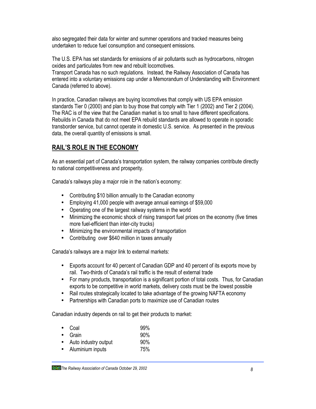also segregated their data for winter and summer operations and tracked measures being undertaken to reduce fuel consumption and consequent emissions.

The U.S. EPA has set standards for emissions of air pollutants such as hydrocarbons, nitrogen oxides and particulates from new and rebuilt locomotives.

Transport Canada has no such regulations. Instead, the Railway Association of Canada has entered into a voluntary emissions cap under a Memorandum of Understanding with Environment Canada (referred to above).

In practice, Canadian railways are buying locomotives that comply with US EPA emission standards Tier 0 (2000) and plan to buy those that comply with Tier 1 (2002) and Tier 2 (2004). The RAC is of the view that the Canadian market is too small to have different specifications. Rebuilds in Canada that do not meet EPA rebuild standards are allowed to operate in sporadic transborder service, but cannot operate in domestic U.S. service. As presented in the previous data, the overall quantity of emissions is small.

# **RAIL'S ROLE IN THE ECONOMY**

As an essential part of Canada's transportation system, the railway companies contribute directly to national competitiveness and prosperity.

Canada's railways play a major role in the nation's economy:

- Contributing \$10 billion annually to the Canadian economy
- Employing 41,000 people with average annual earnings of \$59,000
- Operating one of the largest railway systems in the world
- Minimizing the economic shock of rising transport fuel prices on the economy (five times more fuel-efficient than inter-city trucks)
- Minimizing the environmental impacts of transportation
- Contributing over \$640 million in taxes annually

Canada's railways are a major link to external markets:

- Exports account for 40 percent of Canadian GDP and 40 percent of its exports move by rail. Two-thirds of Canada's rail traffic is the result of external trade
- For many products, transportation is a significant portion of total costs. Thus, for Canadian exports to be competitive in world markets, delivery costs must be the lowest possible
- Rail routes strategically located to take advantage of the growing NAFTA economy
- Partnerships with Canadian ports to maximize use of Canadian routes

Canadian industry depends on rail to get their products to market:

|           | $\bullet$ Coal       | 99% |
|-----------|----------------------|-----|
|           | $\bullet$ Grain      | 90% |
| $\bullet$ | Auto industry output | 90% |
| $\bullet$ | Aluminium inputs     | 75% |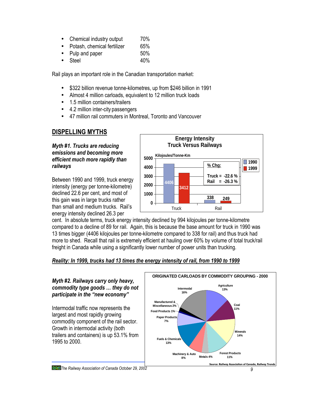- Chemical industry output 70%
- Potash, chemical fertilizer 65%
- Pulp and paper 50%
- Steel 40%

Rail plays an important role in the Canadian transportation market:

- \$322 billion revenue tonne-kilometres, up from \$246 billion in 1991
- Almost 4 million carloads, equivalent to 12 million truck loads
- 1.5 million containers/trailers
- 4.2 million inter-city passengers
- 47 million rail commuters in Montreal, Toronto and Vancouver

# **DISPELLING MYTHS**

*Myth #1. Trucks are reducing emissions and becoming more efficient much more rapidly than railways*

Between 1990 and 1999, truck energy intensity (energy per tonne-kilometre) declined 22.6 per cent, and most of this gain was in large trucks rather than small and medium trucks. Rail's energy intensity declined 26.3 per



cent. In absolute terms, truck energy intensity declined by 994 kilojoules per tonne-kilometre compared to a decline of 89 for rail. Again, this is because the base amount for truck in 1990 was 13 times bigger (4406 kilojoules per tonne-kilometre compared to 338 for rail) and thus truck had more to shed. Recall that rail is extremely efficient at hauling over 60% by volume of total truck/rail freight in Canada while using a significantly lower number of power units than trucking.

### *Reality: In 1999, trucks had 13 times the energy intensity of rail, from 1990 to 1999*

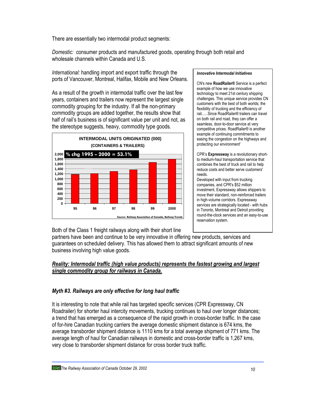There are essentially two intermodal product segments:

*Domestic:* consumer products and manufactured goods, operating through both retail and wholesale channels within Canada and U.S.

*International:* handling import and export traffic through the ports of Vancouver, Montreal, Halifax, Mobile and New Orleans.

As a result of the growth in intermodal traffic over the last few years, containers and trailers now represent the largest single commodity grouping for the industry. If all the non-primary commodity groups are added together, the results show that half of rail's business is of significant value per unit and not, as the stereotype suggests, heavy, commodity type goods.



#### *Innovative Intermodal Initiatives*

CN's new **RoadRailer®** Service is a perfect example of how we use innovative technology to meet 21st century shipping challenges. This unique service provides CN customers with the best of both worlds; the flexibility of trucking and the efficiency of rail......Since RoadRailer® trailers can travel on both rail and road, they can offer a seamless, door-to-door service at very competitive prices. RoadRailer® is another example of continuing commitments to easing the congestion on the highways and protecting our environment'

CPR's **Expressway** is a revolutionary shortto medium-haul transportation service that combines the best of truck and rail to help reduce costs and better serve customers' needs.

Developed with input from trucking companies, and CPR's \$52 million investment, Expressway allows shippers to move their standard, non-reinforced trailers in high-volume corridors. Expressway services are strategically located - with hubs in Toronto, Montreal and Detroit providing round-the-clock services and an easy-to-use reservation system.

Both of the Class 1 freight railways along with their short line

partners have been and continue to be very innovative in offering new products, services and guarantees on scheduled delivery. This has allowed them to attract significant amounts of new business involving high value goods.

### *Reality: Intermodal traffic (high value products) represents the fastest growing and largest single commodity group for railways in Canada.*

### *Myth #3. Railways are only effective for long haul traffic*

It is interesting to note that while rail has targeted specific services (CPR Expressway, CN Roadrailer) for shorter haul intercity movements, trucking continues to haul over longer distances; a trend that has emerged as a consequence of the rapid growth in cross-border traffic. In the case of for-hire Canadian trucking carriers the average domestic shipment distance is 674 kms, the average transborder shipment distance is 1110 kms for a total average shipment of 771 kms. The average length of haul for Canadian railways in domestic and cross-border traffic is 1,267 kms, very close to transborder shipment distance for cross border truck traffic.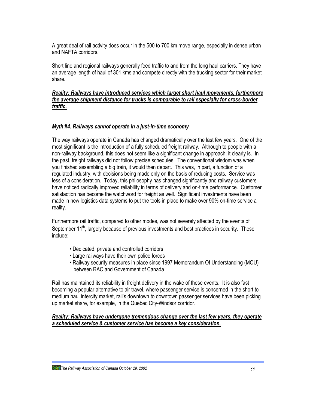A great deal of rail activity does occur in the 500 to 700 km move range, especially in dense urban and NAFTA corridors.

Short line and regional railways generally feed traffic to and from the long haul carriers. They have an average length of haul of 301 kms and compete directly with the trucking sector for their market share.

### *Reality: Railways have introduced services which target short haul movements, furthermore the average shipment distance for trucks is comparable to rail especially for cross-border traffic.*

### *Myth #4. Railways cannot operate in a just-in-time economy*

The way railways operate in Canada has changed dramatically over the last few years. One of the most significant is the introduction of a fully scheduled freight railway. Although to people with a non-railway background, this does not seem like a significant change in approach; it clearly is. In the past, freight railways did not follow precise schedules. The conventional wisdom was when you finished assembling a big train, it would then depart. This was, in part, a function of a regulated industry, with decisions being made only on the basis of reducing costs. Service was less of a consideration. Today, this philosophy has changed significantly and railway customers have noticed radically improved reliability in terms of delivery and on-time performance. Customer satisfaction has become the watchword for freight as well. Significant investments have been made in new logistics data systems to put the tools in place to make over 90% on-time service a reality.

Furthermore rail traffic, compared to other modes, was not severely affected by the events of September 11<sup>th</sup>, largely because of previous investments and best practices in security. These include:

- Dedicated, private and controlled corridors
- Large railways have their own police forces
- Railway security measures in place since 1997 Memorandum Of Understanding (MOU) between RAC and Government of Canada

Rail has maintained its reliability in freight delivery in the wake of these events. It is also fast becoming a popular alternative to air travel, where passenger service is concerned in the short to medium haul intercity market, rail's downtown to downtown passenger services have been picking up market share, for example, in the Quebec City-Windsor corridor.

*Reality: Railways have undergone tremendous change over the last few years, they operate a scheduled service & customer service has become a key consideration.*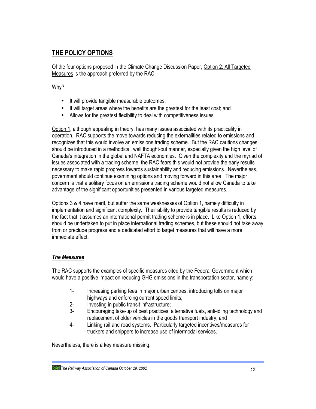# **THE POLICY OPTIONS**

Of the four options proposed in the Climate Change Discussion Paper, Option 2: All Targeted Measures is the approach preferred by the RAC.

Why?

- It will provide tangible measurable outcomes;
- It will target areas where the benefits are the greatest for the least cost; and
- Allows for the greatest flexibility to deal with competitiveness issues

Option 1, although appealing in theory, has many issues associated with its practicality in operation. RAC supports the move towards reducing the externalities related to emissions and recognizes that this would involve an emissions trading scheme. But the RAC cautions changes should be introduced in a methodical, well thought-out manner, especially given the high level of Canada's integration in the global and NAFTA economies. Given the complexity and the myriad of issues associated with a trading scheme, the RAC fears this would not provide the early results necessary to make rapid progress towards sustainability and reducing emissions. Nevertheless, government should continue examining options and moving forward in this area. The major concern is that a solitary focus on an emissions trading scheme would not allow Canada to take advantage of the significant opportunities presented in various targeted measures.

Options 3 & 4 have merit, but suffer the same weaknesses of Option 1, namely difficulty in implementation and significant complexity. Their ability to provide tangible results is reduced by the fact that it assumes an international permit trading scheme is in place. Like Option 1, efforts should be undertaken to put in place international trading schemes, but these should not take away from or preclude progress and a dedicated effort to target measures that will have a more immediate effect.

# *The Measures*

The RAC supports the examples of specific measures cited by the Federal Government which would have a positive impact on reducing GHG emissions in the transportation sector, namely:

- 1- Increasing parking fees in major urban centres, introducing tolls on major highways and enforcing current speed limits;
- 2- Investing in public transit infrastructure;
- 3- Encouraging take-up of best practices, alternative fuels, anti-idling technology and replacement of older vehicles in the goods transport industry; and
- 4- Linking rail and road systems. Particularly targeted incentives/measures for truckers and shippers to increase use of intermodal services.

Nevertheless, there is a key measure missing: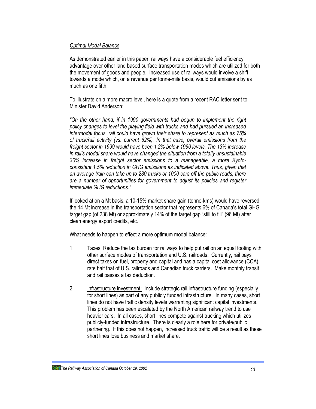### *Optimal Modal Balance*

As demonstrated earlier in this paper, railways have a considerable fuel efficiency advantage over other land based surface transportation modes which are utilized for both the movement of goods and people. Increased use of railways would involve a shift towards a mode which, on a revenue per tonne-mile basis, would cut emissions by as much as one fifth.

To illustrate on a more macro level, here is a quote from a recent RAC letter sent to Minister David Anderson:

*"On the other hand, if in 1990 governments had begun to implement the right policy changes to level the playing field with trucks and had pursued an increased intermodal focus, rail could have grown their share to represent as much as 75% of truck/rail activity (vs. current 62%). In that case, overall emissions from the freight sector in 1999 would have been 1.2% below 1990 levels. The 13% increase in rail's modal share would have changed the situation from a totally unsustainable 30% increase in freight sector emissions to a manageable, a more Kyotoconsistent 1.5% reduction in GHG emissions as indicated above. Thus, given that an average train can take up to 280 trucks or 1000 cars off the public roads, there are a number of opportunities for government to adjust its policies and register immediate GHG reductions."*

If looked at on a Mt basis, a 10-15% market share gain (tonne-kms) would have reversed the 14 Mt increase in the transportation sector that represents 6% of Canada's total GHG target gap (of 238 Mt) or approximately 14% of the target gap "still to fill" (96 Mt) after clean energy export credits, etc.

What needs to happen to effect a more optimum modal balance:

- 1. Taxes: Reduce the tax burden for railways to help put rail on an equal footing with other surface modes of transportation and U.S. railroads. Currently, rail pays direct taxes on fuel, property and capital and has a capital cost allowance (CCA) rate half that of U.S. railroads and Canadian truck carriers. Make monthly transit and rail passes a tax deduction.
- 2. Infrastructure investment: Include strategic rail infrastructure funding (especially for short lines) as part of any publicly funded infrastructure. In many cases, short lines do not have traffic density levels warranting significant capital investments. This problem has been escalated by the North American railway trend to use heavier cars. In all cases, short lines compete against trucking which utilizes publicly-funded infrastructure. There is clearly a role here for private/public partnering. If this does not happen, increased truck traffic will be a result as these short lines lose business and market share.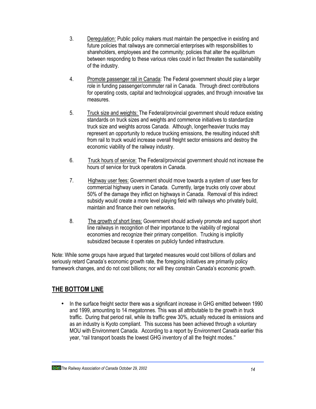- 3. Deregulation: Public policy makers must maintain the perspective in existing and future policies that railways are commercial enterprises with responsibilities to shareholders, employees and the community; policies that alter the equilibrium between responding to these various roles could in fact threaten the sustainability of the industry.
- 4. Promote passenger rail in Canada: The Federal government should play a larger role in funding passenger/commuter rail in Canada. Through direct contributions for operating costs, capital and technological upgrades, and through innovative tax measures.
- 5. Truck size and weights: The Federal/provincial government should reduce existing standards on truck sizes and weights and commence initiatives to standardize truck size and weights across Canada. Although, longer/heavier trucks may represent an opportunity to reduce trucking emissions, the resulting induced shift from rail to truck would increase overall freight sector emissions and destroy the economic viability of the railway industry.
- 6. Truck hours of service: The Federal/provincial government should not increase the hours of service for truck operators in Canada.
- 7. Highway user fees: Government should move towards a system of user fees for commercial highway users in Canada. Currently, large trucks only cover about 50% of the damage they inflict on highways in Canada. Removal of this indirect subsidy would create a more level playing field with railways who privately build, maintain and finance their own networks.
- 8. The growth of short lines: Government should actively promote and support short line railways in recognition of their importance to the viability of regional economies and recognize their primary competition. Trucking is implicitly subsidized because it operates on publicly funded infrastructure.

Note: While some groups have argued that targeted measures would cost billions of dollars and seriously retard Canada's economic growth rate, the foregoing initiatives are primarily policy framework changes, and do not cost billions; nor will they constrain Canada's economic growth.

# **THE BOTTOM LINE**

• In the surface freight sector there was a significant increase in GHG emitted between 1990 and 1999, amounting to 14 megatonnes. This was all attributable to the growth in truck traffic. During that period rail, while its traffic grew 30%, actually reduced its emissions and as an industry is Kyoto compliant. This success has been achieved through a voluntary MOU with Environment Canada. According to a report by Environment Canada earlier this year, "rail transport boasts the lowest GHG inventory of all the freight modes."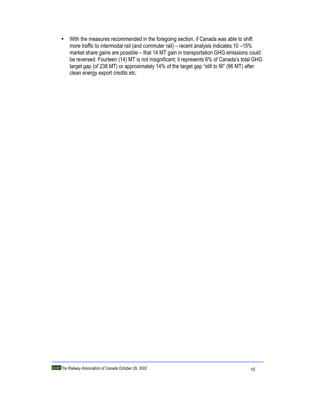• With the measures recommended in the foregoing section, if Canada was able to shift more traffic to intermodal rail (and commuter rail) – recent analysis indicates 10 –15% market share gains are possible – that 14 MT gain in transportation GHG emissions could be reversed. Fourteen (14) MT is not insignificant; it represents 6% of Canada's total GHG target gap (of 238 MT) or approximately 14% of the target gap "still to fill" (96 MT) after clean energy export credits etc.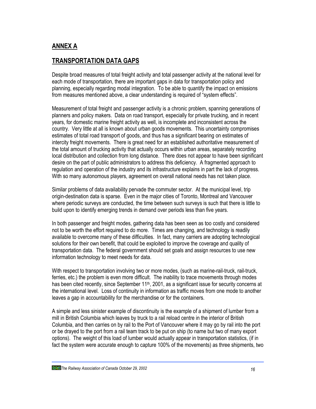# **ANNEX A**

# **TRANSPORTATION DATA GAPS**

Despite broad measures of total freight activity and total passenger activity at the national level for each mode of transportation, there are important gaps in data for transportation policy and planning, especially regarding modal integration. To be able to quantify the impact on emissions from measures mentioned above, a clear understanding is required of "system effects".

Measurement of total freight and passenger activity is a chronic problem, spanning generations of planners and policy makers. Data on road transport, especially for private trucking, and in recent years, for domestic marine freight activity as well, is incomplete and inconsistent across the country. Very little at all is known about urban goods movements. This uncertainty compromises estimates of total road transport of goods, and thus has a significant bearing on estimates of intercity freight movements. There is great need for an established authoritative measurement of the total amount of trucking activity that actually occurs within urban areas, separately recording local distribution and collection from long distance. There does not appear to have been significant desire on the part of public administrators to address this deficiency. A fragmented approach to regulation and operation of the industry and its infrastructure explains in part the lack of progress. With so many autonomous players, agreement on overall national needs has not taken place.

Similar problems of data availability pervade the commuter sector. At the municipal level, trip origin-destination data is sparse. Even in the major cities of Toronto, Montreal and Vancouver where periodic surveys are conducted, the time between such surveys is such that there is little to build upon to identify emerging trends in demand over periods less than five years.

In both passenger and freight modes, gathering data has been seen as too costly and considered not to be worth the effort required to do more. Times are changing, and technology is readily available to overcome many of these difficulties. In fact, many carriers are adopting technological solutions for their own benefit, that could be exploited to improve the coverage and quality of transportation data. The federal government should set goals and assign resources to use new information technology to meet needs for data.

With respect to transportation involving two or more modes, (such as marine-rail-truck, rail-truck, ferries, etc.) the problem is even more difficult. The inability to trace movements through modes has been cited recently, since September 11<sup>th</sup>, 2001, as a significant issue for security concerns at the international level. Loss of continuity in information as traffic moves from one mode to another leaves a gap in accountability for the merchandise or for the containers.

A simple and less sinister example of discontinuity is the example of a shipment of lumber from a mill in British Columbia which leaves by truck to a rail reload centre in the interior of British Columbia, and then carries on by rail to the Port of Vancouver where it may go by rail into the port or be drayed to the port from a rail team track to be put on ship (to name but two of many export options). The weight of this load of lumber would actually appear in transportation statistics, (if in fact the system were accurate enough to capture 100% of the movements) as three shipments, two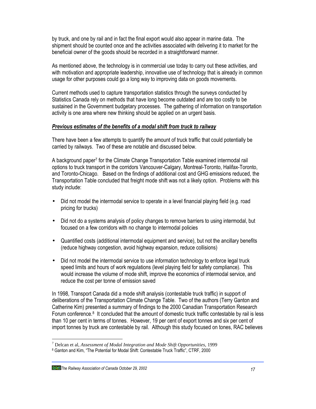by truck, and one by rail and in fact the final export would also appear in marine data. The shipment should be counted once and the activities associated with delivering it to market for the beneficial owner of the goods should be recorded in a straightforward manner.

As mentioned above, the technology is in commercial use today to carry out these activities, and with motivation and appropriate leadership, innovative use of technology that is already in common usage for other purposes could go a long way to improving data on goods movements.

Current methods used to capture transportation statistics through the surveys conducted by Statistics Canada rely on methods that have long become outdated and are too costly to be sustained in the Government budgetary processes. The gathering of information on transportation activity is one area where new thinking should be applied on an urgent basis.

### *Previous estimates of the benefits of a modal shift from truck to railway*

There have been a few attempts to quantify the amount of truck traffic that could potentially be carried by railways. Two of these are notable and discussed below.

A background paper<sup>7</sup> for the Climate Change Transportation Table examined intermodal rail options to truck transport in the corridors Vancouver-Calgary, Montreal-Toronto, Halifax-Toronto, and Toronto-Chicago. Based on the findings of additional cost and GHG emissions reduced, the Transportation Table concluded that freight mode shift was not a likely option. Problems with this study include:

- Did not model the intermodal service to operate in a level financial playing field (e.g. road pricing for trucks)
- Did not do a systems analysis of policy changes to remove barriers to using intermodal, but focused on a few corridors with no change to intermodal policies
- Quantified costs (additional intermodal equipment and service), but not the ancillary benefits (reduce highway congestion, avoid highway expansion, reduce collisions)
- Did not model the intermodal service to use information technology to enforce legal truck speed limits and hours of work regulations (level playing field for safety compliance). This would increase the volume of mode shift, improve the economics of intermodal service, and reduce the cost per tonne of emission saved

In 1998, Transport Canada did a mode shift analysis (contestable truck traffic) in support of deliberations of the Transportation Climate Change Table. Two of the authors (Terry Ganton and Catherine Kim) presented a summary of findings to the 2000 Canadian Transportation Research Forum conference.<sup>8</sup> It concluded that the amount of domestic truck traffic contestable by rail is less than 10 per cent in terms of tonnes. However, 19 per cent of export tonnes and six per cent of import tonnes by truck are contestable by rail. Although this study focused on tones, RAC believes

*The Railway Association of Canada October 29, 2002 17*

-

<sup>7</sup> Delcan et al, *Assessment of Modal Integration and Mode Shift Opportunities*, 1999

<sup>8</sup> Ganton and Kim, "The Potential for Modal Shift: Contestable Truck Traffic", CTRF, 2000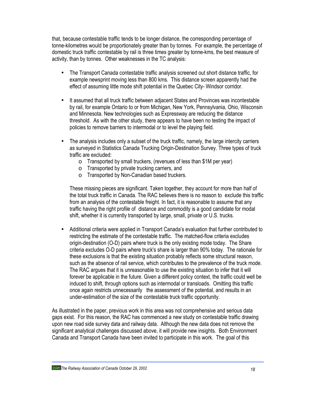that, because contestable traffic tends to be longer distance, the corresponding percentage of tonne-kilometres would be proportionately greater than by tonnes. For example, the percentage of domestic truck traffic contestable by rail is three times greater by tonne-kms, the best measure of activity, than by tonnes. Other weaknesses in the TC analysis:

- The Transport Canada contestable traffic analysis screened out short distance traffic, for example newsprint moving less than 800 kms. This distance screen apparently had the effect of assuming little mode shift potential in the Quebec City- Windsor corridor.
- It assumed that all truck traffic between adjacent States and Provinces was incontestable by rail, for example Ontario to or from Michigan, New York, Pennsylvania, Ohio, Wisconsin and Minnesota. New technologies such as Expressway are reducing the distance threshold. As with the other study, there appears to have been no testing the impact of policies to remove barriers to intermodal or to level the playing field.
- The analysis includes only a subset of the truck traffic, namely, the large intercity carriers as surveyed in Statistics Canada Trucking Origin-Destination Survey. Three types of truck traffic are excluded:
	- o Transported by small truckers, (revenues of less than \$1M per year)
	- o Transported by private trucking carriers, and
	- o Transported by Non-Canadian based truckers.

These missing pieces are significant. Taken together, they account for more than half of the total truck traffic in Canada. The RAC believes there is no reason to exclude this traffic from an analysis of the contestable freight. In fact, it is reasonable to assume that any traffic having the right profile of distance and commodity is a good candidate for modal shift, whether it is currently transported by large, small, private or U.S. trucks.

• Additional criteria were applied in Transport Canada's evaluation that further contributed to restricting the estimate of the contestable traffic. The matched-flow criteria excludes origin-destination (O-D) pairs where truck is the only existing mode today. The Share criteria excludes O-D pairs where truck's share is larger than 90% today. The rationale for these exclusions is that the existing situation probably reflects some structural reason, such as the absence of rail service, which contributes to the prevalence of the truck mode. The RAC argues that it is unreasonable to use the existing situation to infer that it will forever be applicable in the future. Given a different policy context, the traffic could well be induced to shift, through options such as intermodal or transloads. Omitting this traffic once again restricts unnecessarily the assessment of the potential, and results in an under-estimation of the size of the contestable truck traffic opportunity.

As illustrated in the paper, previous work in this area was not comprehensive and serious data gaps exist. For this reason, the RAC has commenced a new study on contestable traffic drawing upon new road side survey data and railway data. Although the new data does not remove the significant analytical challenges discussed above, it will provide new insights. Both Environment Canada and Transport Canada have been invited to participate in this work. The goal of this